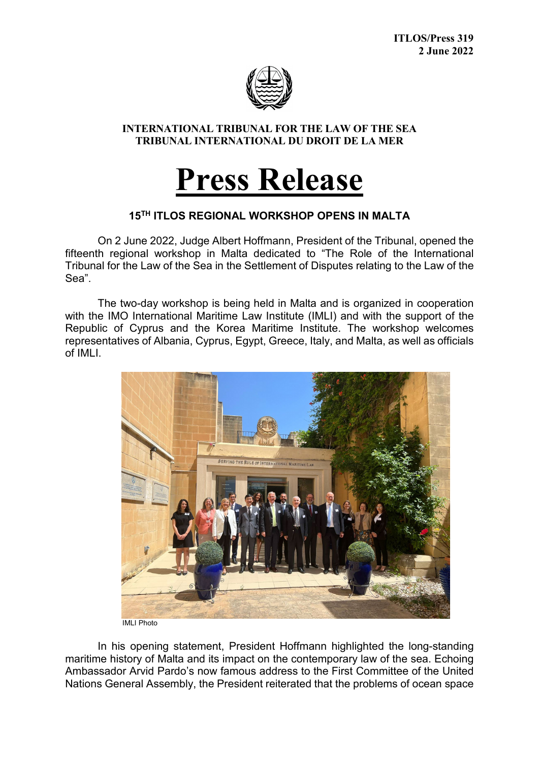

## **INTERNATIONAL TRIBUNAL FOR THE LAW OF THE SEA TRIBUNAL INTERNATIONAL DU DROIT DE LA MER**

## **Press Release**

## **15TH ITLOS REGIONAL WORKSHOP OPENS IN MALTA**

On 2 June 2022, Judge Albert Hoffmann, President of the Tribunal, opened the fifteenth regional workshop in Malta dedicated to "The Role of the International Tribunal for the Law of the Sea in the Settlement of Disputes relating to the Law of the Sea".

The two-day workshop is being held in Malta and is organized in cooperation with the IMO International Maritime Law Institute (IMLI) and with the support of the Republic of Cyprus and the Korea Maritime Institute. The workshop welcomes representatives of Albania, Cyprus, Egypt, Greece, Italy, and Malta, as well as officials of IMLI.



IMLI Photo

In his opening statement, President Hoffmann highlighted the long-standing maritime history of Malta and its impact on the contemporary law of the sea. Echoing Ambassador Arvid Pardo's now famous address to the First Committee of the United Nations General Assembly, the President reiterated that the problems of ocean space